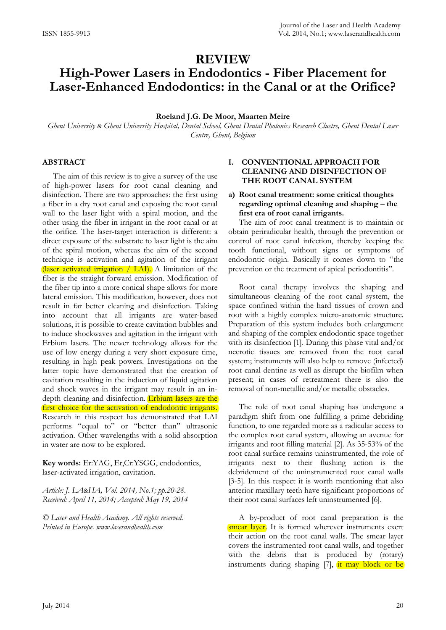# **High-Power Lasers in Endodontics - Fiber Placement for Laser-Enhanced Endodontics: in the Canal or at the Orifice?**

## **Roeland J.G. De Moor, Maarten Meire**

*Ghent University & Ghent University Hospital, Dental School, Ghent Dental Photonics Research Clustre, Ghent Dental Laser Centre, Ghent, Belgium*

#### **ABSTRACT**

The aim of this review is to give a survey of the use of high-power lasers for root canal cleaning and disinfection. There are two approaches: the first using a fiber in a dry root canal and exposing the root canal wall to the laser light with a spiral motion, and the other using the fiber in irrigant in the root canal or at the orifice. The laser-target interaction is different: a direct exposure of the substrate to laser light is the aim of the spiral motion, whereas the aim of the second technique is activation and agitation of the irrigant (laser activated irrigation / LAI). A limitation of the fiber is the straight forward emission. Modification of the fiber tip into a more conical shape allows for more lateral emission. This modification, however, does not result in far better cleaning and disinfection. Taking into account that all irrigants are water-based solutions, it is possible to create cavitation bubbles and to induce shockwaves and agitation in the irrigant with Erbium lasers. The newer technology allows for the use of low energy during a very short exposure time, resulting in high peak powers. Investigations on the latter topic have demonstrated that the creation of cavitation resulting in the induction of liquid agitation and shock waves in the irrigant may result in an indepth cleaning and disinfection. Erbium lasers are the first choice for the activation of endodontic irrigants. Research in this respect has demonstrated that LAI performs "equal to" or "better than" ultrasonic activation. Other wavelengths with a solid absorption in water are now to be explored.

**Key words:** Er:YAG, Er,Cr:YSGG, endodontics, laser-activated irrigation, cavitation.

*Article: J. LA&HA, Vol. 2014, No.1; pp.20-28. Received: April 11, 2014; Accepted: May 19, 2014*

*© Laser and Health Academy. All rights reserved. Printed in Europe. www.laserandhealth.com*

## **I. CONVENTIONAL APPROACH FOR CLEANING AND DISINFECTION OF THE ROOT CANAL SYSTEM**

## **a) Root canal treatment: some critical thoughts regarding optimal cleaning and shaping – the first era of root canal irrigants.**

The aim of root canal treatment is to maintain or obtain periradicular health, through the prevention or control of root canal infection, thereby keeping the tooth functional, without signs or symptoms of endodontic origin. Basically it comes down to "the prevention or the treatment of apical periodontitis".

Root canal therapy involves the shaping and simultaneous cleaning of the root canal system, the space confined within the hard tissues of crown and root with a highly complex micro-anatomic structure. Preparation of this system includes both enlargement and shaping of the complex endodontic space together with its disinfection [1]. During this phase vital and/or necrotic tissues are removed from the root canal system; instruments will also help to remove (infected) root canal dentine as well as disrupt the biofilm when present; in cases of retreatment there is also the removal of non-metallic and/or metallic obstacles.

The role of root canal shaping has undergone a paradigm shift from one fulfilling a prime debriding function, to one regarded more as a radicular access to the complex root canal system, allowing an avenue for irrigants and root filling material [2]. As 35-53% of the root canal surface remains uninstrumented, the role of irrigants next to their flushing action is the debridement of the uninstrumented root canal walls [3-5]. In this respect it is worth mentioning that also anterior maxillary teeth have significant proportions of their root canal surfaces left uninstrumented [6].

A by-product of root canal preparation is the smear layer. It is formed wherever instruments exert their action on the root canal walls. The smear layer covers the instrumented root canal walls, and together with the debris that is produced by (rotary) instruments during shaping [7], it may block or be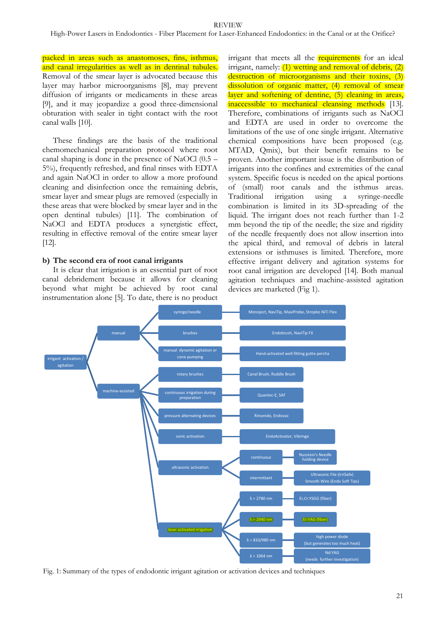packed in areas such as anastomoses, fins, isthmus, and canal irregularities as well as in dentinal tubules. Removal of the smear layer is advocated because this layer may harbor microorganisms [8], may prevent diffusion of irrigants or medicaments in these areas [9], and it may jeopardize a good three-dimensional obturation with sealer in tight contact with the root canal walls [10].

These findings are the basis of the traditional chemomechanical preparation protocol where root canal shaping is done in the presence of NaOCl (0.5 – 5%), frequently refreshed, and final rinses with EDTA and again NaOCl in order to allow a more profound cleaning and disinfection once the remaining debris, smear layer and smear plugs are removed (especially in these areas that were blocked by smear layer and in the open dentinal tubules) [11]. The combination of NaOCl and EDTA produces a synergistic effect, resulting in effective removal of the entire smear layer [12].

#### **b) The second era of root canal irrigants**

It is clear that irrigation is an essential part of root canal debridement because it allows for cleaning beyond what might be achieved by root canal instrumentation alone [5]. To date, there is no product irrigant that meets all the **requirements** for an ideal irrigant, namely:  $(1)$  wetting and removal of debris,  $(2)$ destruction of microorganisms and their toxins, (3) dissolution of organic matter, (4) removal of smear layer and softening of dentine, (5) cleaning in areas, inaccessible to mechanical cleansing methods [13]. Therefore, combinations of irrigants such as NaOCl and EDTA are used in order to overcome the limitations of the use of one single irrigant. Alternative chemical compositions have been proposed (e.g. MTAD, Qmix), but their benefit remains to be proven. Another important issue is the distribution of irrigants into the confines and extremities of the canal system. Specific focus is needed on the apical portions of (small) root canals and the isthmus areas. Traditional irrigation using a syringe-needle combination is limited in its 3D-spreading of the liquid. The irrigant does not reach further than 1-2 mm beyond the tip of the needle; the size and rigidity of the needle frequently does not allow insertion into the apical third, and removal of debris in lateral extensions or isthmuses is limited. Therefore, more effective irrigant delivery and agitation systems for root canal irrigation are developed [14]. Both manual agitation techniques and machine-assisted agitation devices are marketed (Fig 1).



Fig. 1: Summary of the types of endodontic irrigant agitation or activation devices and techniques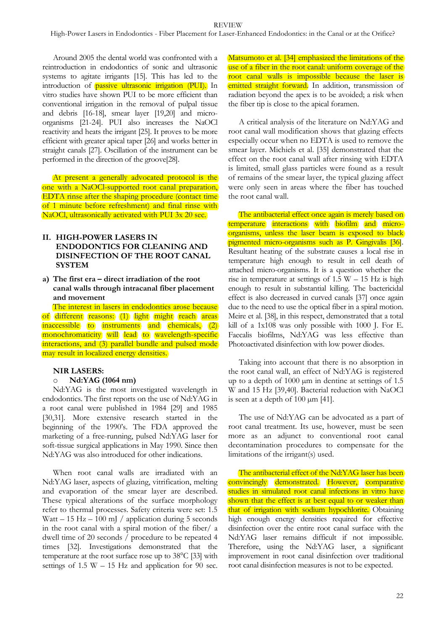Around 2005 the dental world was confronted with a reintroduction in endodontics of sonic and ultrasonic systems to agitate irrigants [15]. This has led to the introduction of passive ultrasonic irrigation (PUI). In vitro studies have shown PUI to be more efficient than conventional irrigation in the removal of pulpal tissue and debris [16-18], smear layer [19,20] and microorganisms [21-24]. PUI also increases the NaOCl reactivity and heats the irrigant [25]. It proves to be more efficient with greater apical taper [26] and works better in straight canals [27]. Oscillation of the instrument can be performed in the direction of the groove[28].

At present a generally advocated protocol is the one with a NaOCl-supported root canal preparation, EDTA rinse after the shaping procedure (contact time of 1 minute before refreshment) and final rinse with NaOCl, ultrasonically activated with PUI 3x 20 sec.

#### **II. HIGH-POWER LASERS IN ENDODONTICS FOR CLEANING AND DISINFECTION OF THE ROOT CANAL SYSTEM**

**a) The first era – direct irradiation of the root canal walls through intracanal fiber placement and movement**

The interest in lasers in endodontics arose because of different reasons: (1) light might reach areas inaccessible to instruments and chemicals, (2) monochromaticity will lead to wavelength-specific interactions, and (3) parallel bundle and pulsed mode may result in localized energy densities.

#### **NIR LASERS:**

#### o **Nd:YAG (1064 nm)**

Nd:YAG is the most investigated wavelength in endodontics. The first reports on the use of Nd:YAG in a root canal were published in 1984 [29] and 1985 [30,31]. More extensive research started in the beginning of the 1990's. The FDA approved the marketing of a free-running, pulsed Nd:YAG laser for soft-tissue surgical applications in May 1990. Since then Nd:YAG was also introduced for other indications.

When root canal walls are irradiated with an Nd:YAG laser, aspects of glazing, vitrification, melting and evaporation of the smear layer are described. These typical alterations of the surface morphology refer to thermal processes. Safety criteria were set: 1.5 Watt – 15 Hz – 100 mJ / application during 5 seconds in the root canal with a spiral motion of the fiber/ a dwell time of 20 seconds / procedure to be repeated 4 times [32]. Investigations demonstrated that the temperature at the root surface rose up to 38°C [33] with settings of  $1.5 W - 15 Hz$  and application for 90 sec.

Matsumoto et al. [34] emphasized the limitations of the use of a fiber in the root canal: uniform coverage of the root canal walls is impossible because the laser is emitted straight forward. In addition, transmission of radiation beyond the apex is to be avoided; a risk when the fiber tip is close to the apical foramen.

A critical analysis of the literature on Nd:YAG and root canal wall modification shows that glazing effects especially occur when no EDTA is used to remove the smear layer. Michiels et al. [35] demonstrated that the effect on the root canal wall after rinsing with EDTA is limited, small glass particles were found as a result of remains of the smear layer, the typical glazing affect were only seen in areas where the fiber has touched the root canal wall.

The antibacterial effect once again is merely based on temperature interactions with biofilm and microorganisms, unless the laser beam is exposed to black pigmented micro-organisms such as P. Gingivalis [36]. Resultant heating of the substrate causes a local rise in temperature high enough to result in cell death of attached micro-organisms. It is a question whether the rise in temperature at settings of  $1.5 W - 15 Hz$  is high enough to result in substantial killing. The bactericidal effect is also decreased in curved canals [37] once again due to the need to use the optical fiber in a spiral motion. Meire et al. [38], in this respect, demonstrated that a total kill of a 1x108 was only possible with 1000 J. For E. Faecalis biofilms, Nd:YAG was less effective than Photoactivated disinfection with low power diodes.

Taking into account that there is no absorption in the root canal wall, an effect of Nd:YAG is registered up to a depth of 1000 µm in dentine at settings of 1.5 W and 15 Hz [39,40]. Bacterial reduction with NaOCl is seen at a depth of  $100 \mu m$  [41].

The use of Nd:YAG can be advocated as a part of root canal treatment. Its use, however, must be seen more as an adjunct to conventional root canal decontamination procedures to compensate for the limitations of the irrigant(s) used.

The antibacterial effect of the Nd:YAG laser has been convincingly demonstrated. However, comparative studies in simulated root canal infections in vitro have shown that the effect is at best equal to or weaker than that of irrigation with sodium hypochlorite. Obtaining high enough energy densities required for effective disinfection over the entire root canal surface with the Nd:YAG laser remains difficult if not impossible. Therefore, using the Nd:YAG laser, a significant improvement in root canal disinfection over traditional root canal disinfection measures is not to be expected.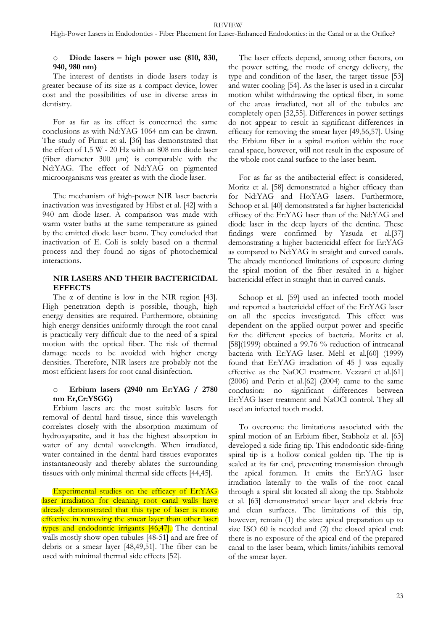## Diode lasers – high power use (810, 830, **940, 980 nm)**

The interest of dentists in diode lasers today is greater because of its size as a compact device, lower cost and the possibilities of use in diverse areas in dentistry.

For as far as its effect is concerned the same conclusions as with Nd:YAG 1064 nm can be drawn. The study of Pirnat et al. [36] has demonstrated that the effect of 1.5 W - 20 Hz with an 808 nm diode laser (fiber diameter 300 µm) is comparable with the Nd:YAG. The effect of Nd:YAG on pigmented microorganisms was greater as with the diode laser.

The mechanism of high-power NIR laser bacteria inactivation was investigated by Hibst et al. [42] with a 940 nm diode laser. A comparison was made with warm water baths at the same temperature as gained by the emitted diode laser beam. They concluded that inactivation of E. Coli is solely based on a thermal process and they found no signs of photochemical interactions.

## **NIR LASERS AND THEIR BACTERICIDAL EFFECTS**

The  $\alpha$  of dentine is low in the NIR region [43]. High penetration depth is possible, though, high energy densities are required. Furthermore, obtaining high energy densities uniformly through the root canal is practically very difficult due to the need of a spiral motion with the optical fiber. The risk of thermal damage needs to be avoided with higher energy densities. Therefore, NIR lasers are probably not the most efficient lasers for root canal disinfection.

#### o **Erbium lasers (2940 nm Er:YAG / 2780 nm Er,Cr:YSGG)**

Erbium lasers are the most suitable lasers for removal of dental hard tissue, since this wavelength correlates closely with the absorption maximum of hydroxyapatite, and it has the highest absorption in water of any dental wavelength. When irradiated, water contained in the dental hard tissues evaporates instantaneously and thereby ablates the surrounding tissues with only minimal thermal side effects [44,45].

Experimental studies on the efficacy of Er:YAG laser irradiation for cleaning root canal walls have already demonstrated that this type of laser is more effective in removing the smear layer than other laser types and endodontic irrigants [46,47]. The dentinal walls mostly show open tubules [48-51] and are free of debris or a smear layer [48,49,51]. The fiber can be used with minimal thermal side effects [52].

The laser effects depend, among other factors, on the power setting, the mode of energy delivery, the type and condition of the laser, the target tissue [53] and water cooling [54]. As the laser is used in a circular motion whilst withdrawing the optical fiber, in some of the areas irradiated, not all of the tubules are completely open [52,55]. Differences in power settings do not appear to result in significant differences in efficacy for removing the smear layer [49,56,57]. Using the Erbium fiber in a spiral motion within the root canal space, however, will not result in the exposure of the whole root canal surface to the laser beam.

For as far as the antibacterial effect is considered, Moritz et al. [58] demonstrated a higher efficacy than for Nd:YAG and Ho:YAG lasers. Furthermore, Schoop et al. [40] demonstrated a far higher bactericidal efficacy of the Er:YAG laser than of the Nd:YAG and diode laser in the deep layers of the dentine. These findings were confirmed by Yasuda et al.[37] demonstrating a higher bactericidal effect for Er:YAG as compared to Nd:YAG in straight and curved canals. The already mentioned limitations of exposure during the spiral motion of the fiber resulted in a higher bactericidal effect in straight than in curved canals.

Schoop et al. [59] used an infected tooth model and reported a bactericidal effect of the Er:YAG laser on all the species investigated. This effect was dependent on the applied output power and specific for the different species of bacteria. Moritz et al. [58](1999) obtained a 99.76 % reduction of intracanal bacteria with Er:YAG laser. Mehl et al.[60] (1999) found that Er:YAG irradiation of 45 J was equally effective as the NaOCl treatment. Vezzani et al.[61] (2006) and Perin et al.[62] (2004) came to the same conclusion: no significant differences between Er:YAG laser treatment and NaOCl control. They all used an infected tooth model.

To overcome the limitations associated with the spiral motion of an Erbium fiber, Stabholz et al. [63] developed a side firing tip. This endodontic side-firing spiral tip is a hollow conical golden tip. The tip is sealed at its far end, preventing transmission through the apical foramen. It emits the Er:YAG laser irradiation laterally to the walls of the root canal through a spiral slit located all along the tip. Stabholz et al. [63] demonstrated smear layer and debris free and clean surfaces. The limitations of this tip, however, remain (1) the size: apical preparation up to size ISO 60 is needed and (2) the closed apical end: there is no exposure of the apical end of the prepared canal to the laser beam, which limits/inhibits removal of the smear layer.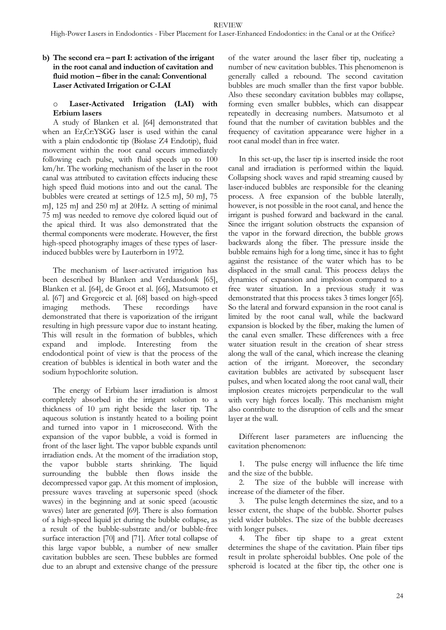## **b) The second era – part I: activation of the irrigant in the root canal and induction of cavitation and fluid motion – fiber in the canal: Conventional Laser Activated Irrigation or C-LAI**

#### Laser-Activated Irrigation (LAI) with **Erbium lasers**

A study of Blanken et al. [64] demonstrated that when an Er,Cr:YSGG laser is used within the canal with a plain endodontic tip (Biolase Z4 Endotip), fluid movement within the root canal occurs immediately following each pulse, with fluid speeds up to 100 km/hr. The working mechanism of the laser in the root canal was attributed to cavitation effects inducing these high speed fluid motions into and out the canal. The bubbles were created at settings of 12.5 mJ, 50 mJ, 75 mJ, 125 mJ and 250 mJ at 20Hz. A setting of minimal 75 mJ was needed to remove dye colored liquid out of the apical third. It was also demonstrated that the thermal components were moderate. However, the first high-speed photography images of these types of laserinduced bubbles were by Lauterborn in 1972.

The mechanism of laser-activated irrigation has been described by Blanken and Verdaasdonk [65], Blanken et al. [64], de Groot et al. [66], Matsumoto et al. [67] and Gregorcic et al. [68] based on high-speed imaging methods. These recordings have demonstrated that there is vaporization of the irrigant resulting in high pressure vapor due to instant heating. This will result in the formation of bubbles, which expand and implode. Interesting from the endodontical point of view is that the process of the creation of bubbles is identical in both water and the sodium hypochlorite solution.

The energy of Erbium laser irradiation is almost completely absorbed in the irrigant solution to a thickness of 10 μm right beside the laser tip. The aqueous solution is instantly heated to a boiling point and turned into vapor in 1 microsecond. With the expansion of the vapor bubble, a void is formed in front of the laser light. The vapor bubble expands until irradiation ends. At the moment of the irradiation stop, the vapor bubble starts shrinking. The liquid surrounding the bubble then flows inside the decompressed vapor gap. At this moment of implosion, pressure waves traveling at supersonic speed (shock waves) in the beginning and at sonic speed (acoustic waves) later are generated [69]. There is also formation of a high-speed liquid jet during the bubble collapse, as a result of the bubble-substrate and/or bubble-free surface interaction [70] and [71]. After total collapse of this large vapor bubble, a number of new smaller cavitation bubbles are seen. These bubbles are formed due to an abrupt and extensive change of the pressure of the water around the laser fiber tip, nucleating a number of new cavitation bubbles. This phenomenon is generally called a rebound. The second cavitation bubbles are much smaller than the first vapor bubble. Also these secondary cavitation bubbles may collapse, forming even smaller bubbles, which can disappear repeatedly in decreasing numbers. Matsumoto et al found that the number of cavitation bubbles and the frequency of cavitation appearance were higher in a root canal model than in free water.

In this set-up, the laser tip is inserted inside the root canal and irradiation is performed within the liquid. Collapsing shock waves and rapid streaming caused by laser-induced bubbles are responsible for the cleaning process. A free expansion of the bubble laterally, however, is not possible in the root canal, and hence the irrigant is pushed forward and backward in the canal. Since the irrigant solution obstructs the expansion of the vapor in the forward direction, the bubble grows backwards along the fiber. The pressure inside the bubble remains high for a long time, since it has to fight against the resistance of the water which has to be displaced in the small canal. This process delays the dynamics of expansion and implosion compared to a free water situation. In a previous study it was demonstrated that this process takes 3 times longer [65]. So the lateral and forward expansion in the root canal is limited by the root canal wall, while the backward expansion is blocked by the fiber, making the lumen of the canal even smaller. These differences with a free water situation result in the creation of shear stress along the wall of the canal, which increase the cleaning action of the irrigant. Moreover, the secondary cavitation bubbles are activated by subsequent laser pulses, and when located along the root canal wall, their implosion creates microjets perpendicular to the wall with very high forces locally. This mechanism might also contribute to the disruption of cells and the smear layer at the wall.

Different laser parameters are influencing the cavitation phenomenon:

1. The pulse energy will influence the life time and the size of the bubble.

2. The size of the bubble will increase with increase of the diameter of the fiber.

3. The pulse length determines the size, and to a lesser extent, the shape of the bubble. Shorter pulses yield wider bubbles. The size of the bubble decreases with longer pulses.

4. The fiber tip shape to a great extent determines the shape of the cavitation. Plain fiber tips result in prolate spheroidal bubbles. One pole of the spheroid is located at the fiber tip, the other one is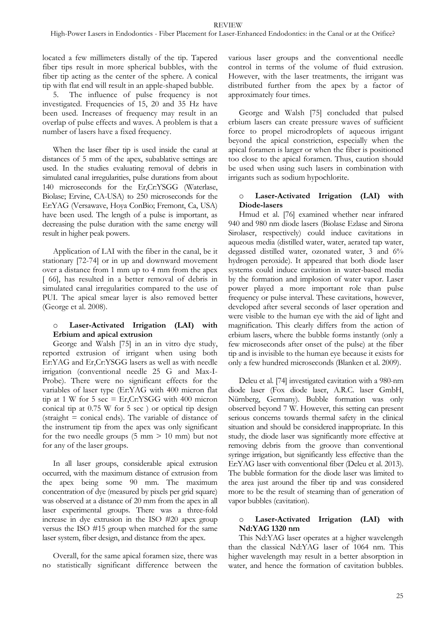located a few millimeters distally of the tip. Tapered fiber tips result in more spherical bubbles, with the fiber tip acting as the center of the sphere. A conical tip with flat end will result in an apple-shaped bubble.

5. The influence of pulse frequency is not investigated. Frequencies of 15, 20 and 35 Hz have been used. Increases of frequency may result in an overlap of pulse effects and waves. A problem is that a number of lasers have a fixed frequency.

When the laser fiber tip is used inside the canal at distances of 5 mm of the apex, subablative settings are used. In the studies evaluating removal of debris in simulated canal irregularities, pulse durations from about 140 microseconds for the Er,Cr:YSGG (Waterlase, Biolase; Ervine, CA-USA) to 250 microseconds for the Er:YAG (Versawave, Hoya ConBio; Fremont, Ca, USA) have been used. The length of a pulse is important, as decreasing the pulse duration with the same energy will result in higher peak powers.

Application of LAI with the fiber in the canal, be it stationary [72-74] or in up and downward movement over a distance from 1 mm up to 4 mm from the apex [ 66], has resulted in a better removal of debris in simulated canal irregularities compared to the use of PUI. The apical smear layer is also removed better (George et al. 2008).

#### o **Laser-Activated Irrigation (LAI) with Erbium and apical extrusion**

George and Walsh [75] in an in vitro dye study, reported extrusion of irrigant when using both Er:YAG and Er,Cr:YSGG lasers as well as with needle irrigation (conventional needle 25 G and Max-I-Probe). There were no significant effects for the variables of laser type (Er:YAG with 400 micron flat tip at 1 W for 5 sec = Er, Cr: YSGG with 400 micron conical tip at 0.75 W for 5 sec ) or optical tip design  $(\text{straight} = \text{conical ends})$ . The variable of distance of the instrument tip from the apex was only significant for the two needle groups  $(5 \text{ mm} > 10 \text{ mm})$  but not for any of the laser groups.

In all laser groups, considerable apical extrusion occurred, with the maximum distance of extrusion from the apex being some 90 mm. The maximum concentration of dye (measured by pixels per grid square) was observed at a distance of 20 mm from the apex in all laser experimental groups. There was a three-fold increase in dye extrusion in the ISO #20 apex group versus the ISO #15 group when matched for the same laser system, fiber design, and distance from the apex.

Overall, for the same apical foramen size, there was no statistically significant difference between the various laser groups and the conventional needle control in terms of the volume of fluid extrusion. However, with the laser treatments, the irrigant was distributed further from the apex by a factor of approximately four times.

George and Walsh [75] concluded that pulsed erbium lasers can create pressure waves of sufficient force to propel microdroplets of aqueous irrigant beyond the apical constriction, especially when the apical foramen is larger or when the fiber is positioned too close to the apical foramen. Thus, caution should be used when using such lasers in combination with irrigants such as sodium hypochlorite.

#### Laser-Activated Irrigation (LAI) with **Diode-lasers**

Hmud et al. [76] examined whether near infrared 940 and 980 nm diode lasers (Biolase Ezlase and Sirona Sirolaser, respectively) could induce cavitations in aqueous media (distilled water, water, aerated tap water, degassed distilled water, ozonated water, 3 and 6% hydrogen peroxide). It appeared that both diode laser systems could induce cavitation in water-based media by the formation and implosion of water vapor. Laser power played a more important role than pulse frequency or pulse interval. These cavitations, however, developed after several seconds of laser operation and were visible to the human eye with the aid of light and magnification. This clearly differs from the action of erbium lasers, where the bubble forms instantly (only a few microseconds after onset of the pulse) at the fiber tip and is invisible to the human eye because it exists for only a few hundred microseconds (Blanken et al. 2009).

Deleu et al. [74] investigated cavitation with a 980-nm diode laser (Fox diode laser, A.R.C. laser GmbH, Nürnberg, Germany). Bubble formation was only observed beyond 7 W. However, this setting can present serious concerns towards thermal safety in the clinical situation and should be considered inappropriate. In this study, the diode laser was significantly more effective at removing debris from the groove than conventional syringe irrigation, but significantly less effective than the Er:YAG laser with conventional fiber (Deleu et al. 2013). The bubble formation for the diode laser was limited to the area just around the fiber tip and was considered more to be the result of steaming than of generation of vapor bubbles (cavitation).

#### o **Laser-Activated Irrigation (LAI) with Nd:YAG 1320 nm**

This Nd:YAG laser operates at a higher wavelength than the classical Nd:YAG laser of 1064 nm. This higher wavelength may result in a better absorption in water, and hence the formation of cavitation bubbles.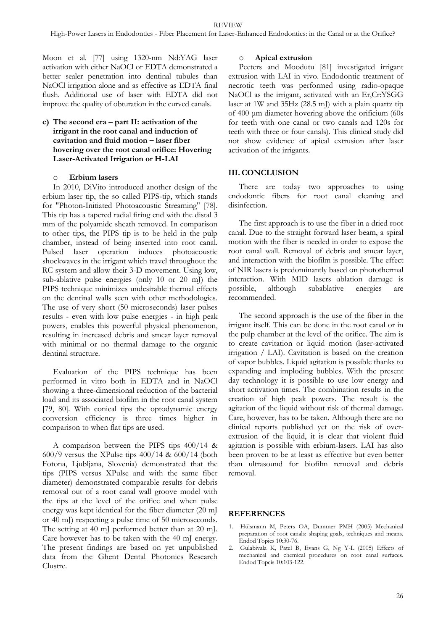Moon et al. [77] using 1320-nm Nd:YAG laser activation with either NaOCl or EDTA demonstrated a better sealer penetration into dentinal tubules than NaOCl irrigation alone and as effective as EDTA final flush. Additional use of laser with EDTA did not improve the quality of obturation in the curved canals.

## **c) The second era – part II: activation of the irrigant in the root canal and induction of cavitation and fluid motion – laser fiber hovering over the root canal orifice: Hovering Laser-Activated Irrigation or H-LAI**

#### o **Erbium lasers**

In 2010, DiVito introduced another design of the erbium laser tip, the so called PIPS-tip, which stands for "Photon-Initiated Photoacoustic Streaming" [78]. This tip has a tapered radial firing end with the distal 3 mm of the polyamide sheath removed. In comparison to other tips, the PIPS tip is to be held in the pulp chamber, instead of being inserted into root canal. Pulsed laser operation induces photoacoustic shockwaves in the irrigant which travel throughout the RC system and allow their 3-D movement. Using low, sub-ablative pulse energies (only 10 or 20 mJ) the PIPS technique minimizes undesirable thermal effects on the dentinal walls seen with other methodologies. The use of very short (50 microseconds) laser pulses results - even with low pulse energies - in high peak powers, enables this powerful physical phenomenon, resulting in increased debris and smear layer removal with minimal or no thermal damage to the organic dentinal structure.

Evaluation of the PIPS technique has been performed in vitro both in EDTA and in NaOCl showing a three-dimensional reduction of the bacterial load and its associated biofilm in the root canal system [79, 80]. With conical tips the optodynamic energy conversion efficiency is three times higher in comparison to when flat tips are used.

A comparison between the PIPS tips 400/14 & 600/9 versus the XPulse tips 400/14 & 600/14 (both Fotona, Ljubljana, Slovenia) demonstrated that the tips (PIPS versus XPulse and with the same fiber diameter) demonstrated comparable results for debris removal out of a root canal wall groove model with the tips at the level of the orifice and when pulse energy was kept identical for the fiber diameter (20 mJ or 40 mJ) respecting a pulse time of 50 microseconds. The setting at 40 mJ performed better than at 20 mJ. Care however has to be taken with the 40 mJ energy. The present findings are based on yet unpublished data from the Ghent Dental Photonics Research Clustre.

#### o **Apical extrusion**

Peeters and Moodutu [81] investigated irrigant extrusion with LAI in vivo. Endodontic treatment of necrotic teeth was performed using radio-opaque NaOCl as the irrigant, activated with an Er,Cr:YSGG laser at 1W and 35Hz (28.5 mJ) with a plain quartz tip of 400 μm diameter hovering above the orificium (60s for teeth with one canal or two canals and 120s for teeth with three or four canals). This clinical study did not show evidence of apical extrusion after laser activation of the irrigants.

#### **III. CONCLUSION**

There are today two approaches to using endodontic fibers for root canal cleaning and disinfection.

The first approach is to use the fiber in a dried root canal. Due to the straight forward laser beam, a spiral motion with the fiber is needed in order to expose the root canal wall. Removal of debris and smear layer, and interaction with the biofilm is possible. The effect of NIR lasers is predominantly based on photothermal interaction. With MID lasers ablation damage is possible, although subablative energies are recommended.

The second approach is the use of the fiber in the irrigant itself. This can be done in the root canal or in the pulp chamber at the level of the orifice. The aim is to create cavitation or liquid motion (laser-activated irrigation / LAI). Cavitation is based on the creation of vapor bubbles. Liquid agitation is possible thanks to expanding and imploding bubbles. With the present day technology it is possible to use low energy and short activation times. The combination results in the creation of high peak powers. The result is the agitation of the liquid without risk of thermal damage. Care, however, has to be taken. Although there are no clinical reports published yet on the risk of overextrusion of the liquid, it is clear that violent fluid agitation is possible with erbium-lasers. LAI has also been proven to be at least as effective but even better than ultrasound for biofilm removal and debris removal.

#### **REFERENCES**

- 1. Hülsmann M, Peters OA, Dummer PMH (2005) Mechanical preparation of root canals: shaping goals, techniques and means. Endod Topics 10:30-76.
- 2. Gulabivala K, Patel B, Evans G, Ng Y-L (2005) Effects of mechanical and chemical procedures on root canal surfaces. Endod Topcis 10:103-122.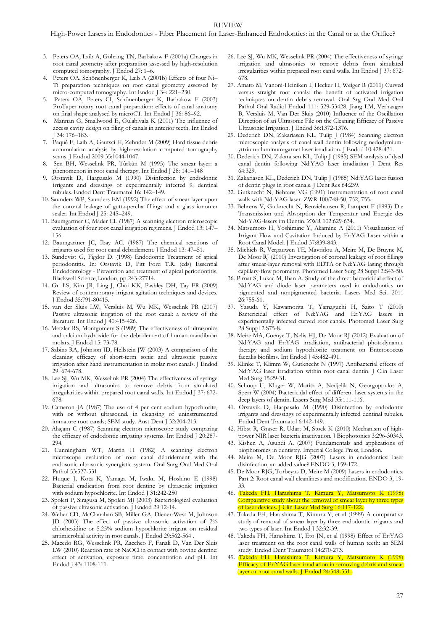- 3. Peters OA, Laib A, Göhring TN, Barbakow F (2001a) Changes in root canal geometry after preparation assessed by high-resolution computed tomography. J Endod 27: 1–6.
- 4. Peters OA, Schönenberger K, Laib A (2001b) Effects of four Ni– Ti preparation techniques on root canal geometry assessed by micro-computed tomography. Int Endod J 34: 221–230.
- 5. Peters OA, Peters CI, Schönenberger K, Barbakow F (2003) ProTaper rotary root canal preparation: effects of canal anatomy on final shape analysed by microCT. Int Endod J 36: 86–92.
- 6. Mannan G, Smallwood E, Gulabivala K (2001) The influence of access cavity design on filing of canals in anterior teeth. Int Endod J 34: 176–183.
- 7. Paqué F, Laib A, Gautsci H, Zehnder M (2009) Hard tissue debris accumulation analysis by high-resolution computed tomography scans. J Endod 2009 35:1044-1047.
- 8. Sen BH, Wesselink PR, Tûrkûn M (1995) The smear layer: a phenomenon in root canal therapy. Int Endod J 28: 141–148
- 9. Ørstavik D, Haapasalo M (1990) Disinfection by endodontic irrigants and dressings of experimentally infected 9. dentinal tubules. Endod Dent Traumatol 16: 142–149.
- 10. Saunders WP, Saunders EM (1992) The effect of smear layer upon the coronal leakage of gutta-percha fillings and a glass ionomer sealer. Int Endod J 25: 245–249.
- 11. Baumgartner C, Mader CL (1987) A scanning electron microscopic evaluation of four root canal irrigation regimens. J Endod 13: 147– 156.
- 12. Baumgartner JC, Ibay AC. (1987) The chemical reactions of irrigants used for root canal debridement. J Endod 13: 47–51.
- 13. Sundqvist G, Figdor D. (1998) Endodontic Treatment of apical periodontitis. In: Orstavik D, Pitt Ford T.R. (eds) Essential Endodontology - Prevention and treatment of apical periodontitis, Blackwell Science,London, pp 243-27714.
- 14. Gu LS, Kim JR, Ling J, Choi KK, Pashley DH, Tay FR (2009) Review of contemporary irrigant agitation techniques and devices. J Endod 35:791-80415.
- 15. van der Sluis LW, Versluis M, Wu MK, Wesselink PR (2007) Passive ultrasonic irrigation of the root canal: a review of the literature. Int Endod J 40:415-426.
- 16. Metzler RS, Montgomery S (1989) The effectiveness of ultrasonics and calcium hydroxide for the debridement of human mandibular molars. J Endod 15: 73-78.
- 17. Sabins RA, Johnson JD, Hellstein JW (2003) A comparison of the cleaning efficacy of short-term sonic and ultrasonic passive irrigation after hand instrumentation in molar root canals. J Endod 29: 674-678.
- 18. Lee SJ, Wu MK, Wesselink PR (2004) The effectiveness of syringe irrigation and ultrasonics to remove debris from simulated irregularities within prepared root canal walls. Int Endod J 37: 672- 678.
- 19. Cameron JA (1987) The use of 4 per cent sodium hypochlorite, with or without ultrasound, in cleansing of uninstrumented immature root canals; SEM study. Aust Dent J 32:204-213.
- 20. Alaçam C (1987) Scanning electron microscope study comparing the efficacy of endodontic irrigating systems. Int Endod J 20:287- 294.
- 21. Cunningham WT, Martin H (1982) A scanning electron microscope evaluation of root canal débridement with the endosonic ultrasonic synergistic system. Oral Surg Oral Med Oral Pathol 53:527-531
- 22. Huque J, Kota K, Yamaga M, Iwaku M, Hoshino E (1998) Bacterial eradication from root dentine by ultrasonic irrigation with sodium hypochlorite. Int Endod J 31:242-250
- 23. Spoleti P, Siragusa M, Spoleti MJ (2003) Bacteriological evaluation of passive ultrasonic activation. J Endod 29:12-14.
- 24. Weber CD, McClanahan SB, Miller GA, Diener-West M, Johnson JD (2003) The effect of passive ultrasonic activation of 2% chlorhexidine or 5.25% sodium hypochlorite irrigant on residual antimicrobial activity in root canals. J Endod 29:562-564 .
- 25. Macedo RG, Wesselink PR, Zaccheo F, Fanali D, Van Der Sluis LW (2010) Reaction rate of NaOCl in contact with bovine dentine: effect of activation, exposure time, concentration and pH. Int Endod J 43: 1108-111.
- 26. Lee SJ, Wu MK, Wesselink PR (2004) The effectiveness of syringe irrigation and ultrasonics to remove debris from simulated irregularities within prepared root canal walls. Int Endod J 37: 672- 678.
- 27. Amato M, Vanoni-Heiniken I, Hecker H, Weiger R (2011) Curved versus straight root canals: the benefit of activated irrigation techniques on dentin debris removal. Oral Srg Oral Med Oral Pathol Oral Radiol Endod 111: 529-53428. Jiang LM, Verhaagen B, Versluis M, Van Der Sluis (2010) Influence of the Oscillation Direction of an Ultrasonic File on the Cleaning Efficacy of Passive Ultrasonic Irrigation. J Endod 36:1372-1376.
- 29. Dederich DN, Zakariasen KL, Tulip J (1984) Scanning electron microscopic analysis of canal wall dentin following nedodymiumyttrium-aluminum-garnet laser irradiation. J Endod 10:428-431.
- 30. Dederich DN, Zakaraisen KL, Tulip J (1985) SEM analysis of dyed canal dentin following Nd:YAG laser irradiation J Dent Res 64:329.
- 31. Zakariasen KL, Dederich DN, Tulip J (1985) Nd:YAG laser fusion of dentin plugs in root canals. J Dent Res 64:239.
- 32. Gutknecht N, Behrens VG (1991) Instrumentation of root canal walls with Nd-YAG laser. ZWR 100:748-50, 752, 755.
- 33. Behrens V, Gutknecht N, Reuziehausen R, Lampert F (1993) Die Transmission und Absorption der Temperatur und Energie des Nd-YAG-lasers im Dentin. ZWR 102:629-634.
- 34. Matsumoto H, Yoshimine Y, Akamine A (2011) Visualization of Irrigant Flow and Cavitation Induced by Er:YAG Laser within a Root Canal Model. J Endod 37:839-843.
- 35. Michiels R, Vergauwen TE, Mavridou A, Meire M, De Bruyne M, De Moor RJ (2010) Investigation of coronal leakage of root fillings after smear-layer removal with EDTA or Nd:YAG lasing through capillary-flow porometry. Photomed Laser Surg 28 Suppl 2:S43-50.
- 36. Pirnat S, Lukac M, Ihan A. Study of the direct bactericidal effect of Nd:YAG and diode laser parameters used in endodontics on pigmented and nonpigmented bacteria. Lasers Med Sci. 2011 26:755-61.
- 37. Yasuda Y, Kawamorita T, Yamaguchi H, Saito T (2010) Bactericidal effect of Nd:YAG and Er:YAG lasers in experimentally infected curved root canals. Photomed Laser Surg 28 Suppl 2:S75-8.
- 38. Meire MA, Coenye T, Nelis HJ, De Moor RJ (2012) Evaluation of Nd:YAG and Er:YAG irradiation, antibacterial photodynamic therapy and sodium hypochlorite treatment on Enterococcus faecalis biofilms. Int Endod J 45:482-491.
- 39. Klinke T, Klimm W, Gutknecht N (1997) Antibacterial effects of Nd:YAG laser irradiation within root canal dentin. J Clin Laser Med Surg 15:29-31.
- 40. Schoop U, Kluger W, Moritz A, Nedjelik N, Georgopoulos A, Sperr W (2004) Bactericidal effect of different laser systems in the deep layers of dentin. Lasers Surg Med 35:111-116.
- 41. Orstavik D, Haapasalo M (1990) Disinfection by endodontic irrigants and dressings of experimentally infected dentinal tubules. Endod Dent Traumatol 6:142-149.
- 42. Hibst R, Graser R, Udart M, Stock K (2010) Mechanism of highpower NIR laser bacteria inactivation. J Biophotonics 3:296-30343.
- 43. Kishen A, Asundi A. (2007) Fundamentals and applications of biophotonics in dentistry. Imperial College Press, London.
- 44. Meire M, De Moor RJG (2007) Lasers in endodontics: laser disinfection, an added value? ENDO 3, 159-172.
- 45. De Moor RJG, Torbeyns D, Meire M (2009) Lasers in endodontics. Part 2: Root canal wall cleanliness and modification. ENDO 3, 19- 33.
- 46. Takeda FH, Harashima T, Kimura Y, Matsumoto K (1998) Comparative study about the removal of smear layer by three types of laser devices. J Clin Laser Med Surg 16:117-122.
- 47. Takeda FH, Harashima T, Kimura Y, et al (1999) A comparative study of removal of smear layer by three endodontic irrigants and two types of laser. Int Endod J 32:32-39.
- 48. Takeda FH, Harashima T, Eto JN, et al (1998) Effect of Er:YAG laser treatment on the root canal walls of human teeth: an SEM study. Endod Dent Traumatol 14:270-273.
- 49. Takeda FH, Harashima T, Kimura Y, Matsumoto K (1998) Efficacy of Er:YAG laser irradiation in removing debris and smear layer on root canal walls. J Endod 24:548-551.